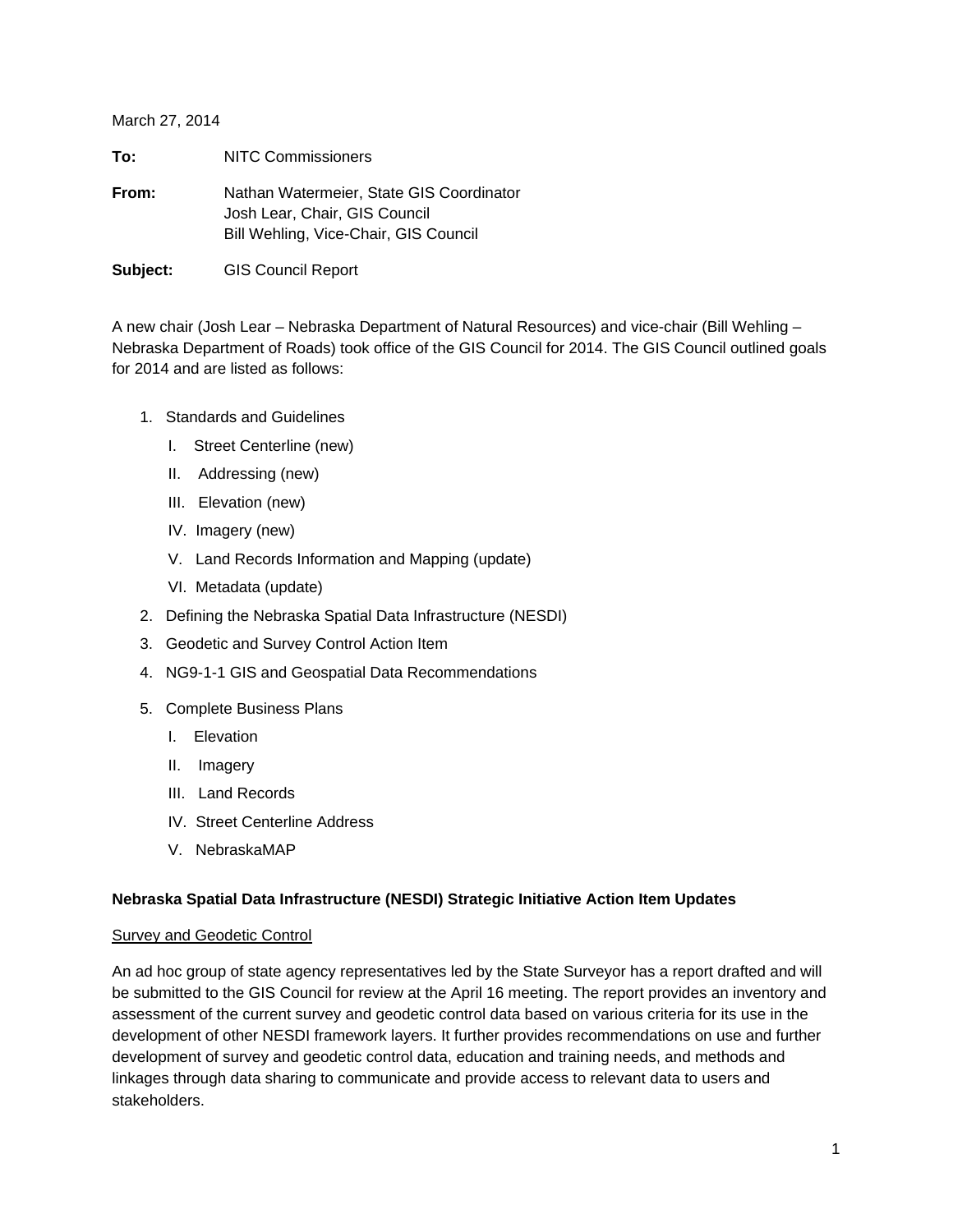March 27, 2014

| To:      | <b>NITC Commissioners</b>                                                                                          |
|----------|--------------------------------------------------------------------------------------------------------------------|
| From:    | Nathan Watermeier, State GIS Coordinator<br>Josh Lear, Chair, GIS Council<br>Bill Wehling, Vice-Chair, GIS Council |
| Subject: | <b>GIS Council Report</b>                                                                                          |

A new chair (Josh Lear – Nebraska Department of Natural Resources) and vice-chair (Bill Wehling – Nebraska Department of Roads) took office of the GIS Council for 2014. The GIS Council outlined goals for 2014 and are listed as follows:

- 1. Standards and Guidelines
	- I. Street Centerline (new)
	- II. Addressing (new)
	- III. Elevation (new)
	- IV. Imagery (new)
	- V. Land Records Information and Mapping (update)
	- VI. Metadata (update)
- 2. Defining the Nebraska Spatial Data Infrastructure (NESDI)
- 3. Geodetic and Survey Control Action Item
- 4. NG9-1-1 GIS and Geospatial Data Recommendations
- 5. Complete Business Plans
	- I. Elevation
	- II. Imagery
	- III. Land Records
	- IV. Street Centerline Address
	- V. NebraskaMAP

#### **Nebraska Spatial Data Infrastructure (NESDI) Strategic Initiative Action Item Updates**

#### **Survey and Geodetic Control**

An ad hoc group of state agency representatives led by the State Surveyor has a report drafted and will be submitted to the GIS Council for review at the April 16 meeting. The report provides an inventory and assessment of the current survey and geodetic control data based on various criteria for its use in the development of other NESDI framework layers. It further provides recommendations on use and further development of survey and geodetic control data, education and training needs, and methods and linkages through data sharing to communicate and provide access to relevant data to users and stakeholders.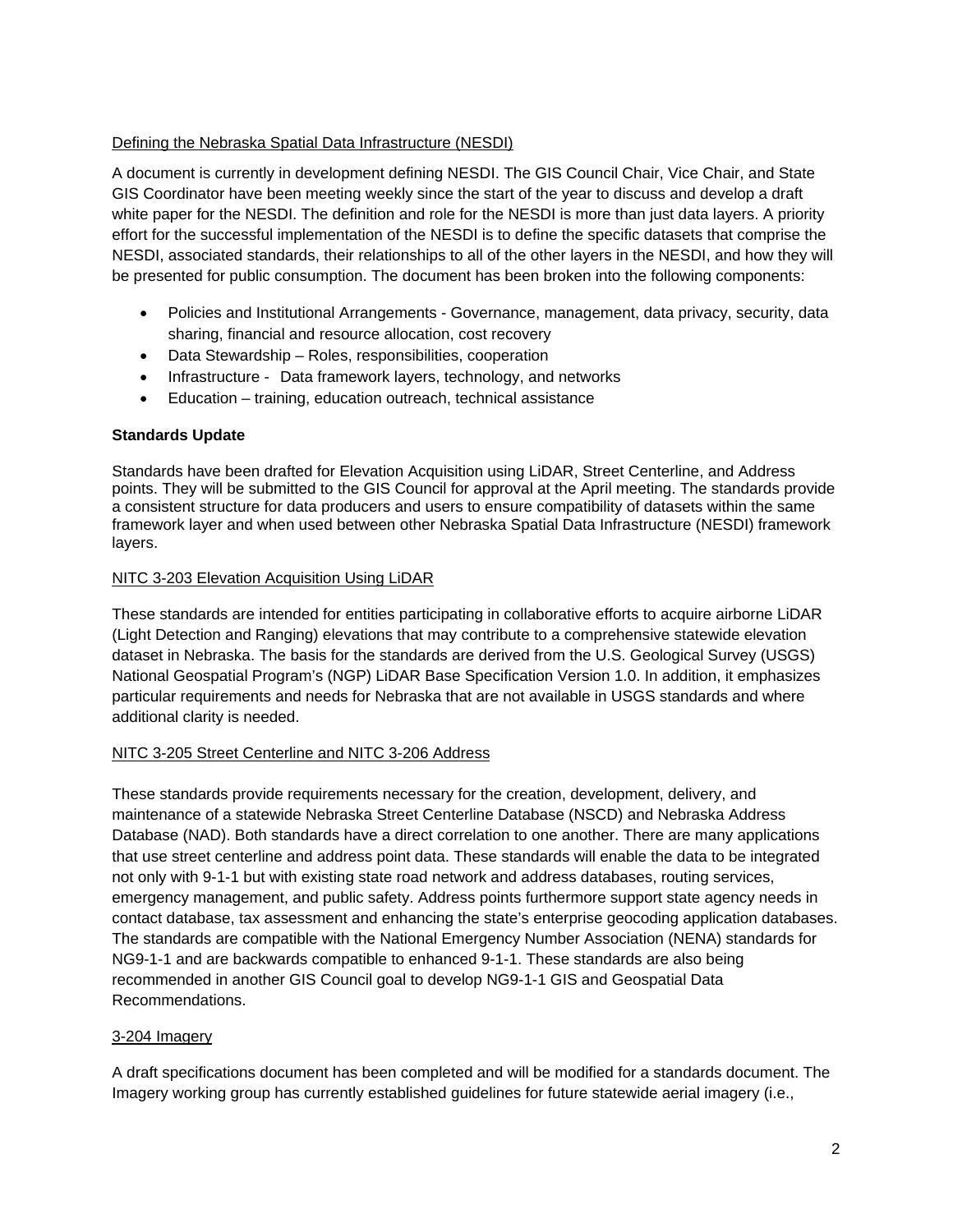## Defining the Nebraska Spatial Data Infrastructure (NESDI)

A document is currently in development defining NESDI. The GIS Council Chair, Vice Chair, and State GIS Coordinator have been meeting weekly since the start of the year to discuss and develop a draft white paper for the NESDI. The definition and role for the NESDI is more than just data layers. A priority effort for the successful implementation of the NESDI is to define the specific datasets that comprise the NESDI, associated standards, their relationships to all of the other layers in the NESDI, and how they will be presented for public consumption. The document has been broken into the following components:

- Policies and Institutional Arrangements Governance, management, data privacy, security, data sharing, financial and resource allocation, cost recovery
- Data Stewardship Roles, responsibilities, cooperation
- Infrastructure Data framework layers, technology, and networks
- Education training, education outreach, technical assistance

# **Standards Update**

Standards have been drafted for Elevation Acquisition using LiDAR, Street Centerline, and Address points. They will be submitted to the GIS Council for approval at the April meeting. The standards provide a consistent structure for data producers and users to ensure compatibility of datasets within the same framework layer and when used between other Nebraska Spatial Data Infrastructure (NESDI) framework layers.

## NITC 3-203 Elevation Acquisition Using LiDAR

These standards are intended for entities participating in collaborative efforts to acquire airborne LiDAR (Light Detection and Ranging) elevations that may contribute to a comprehensive statewide elevation dataset in Nebraska. The basis for the standards are derived from the U.S. Geological Survey (USGS) National Geospatial Program's (NGP) LiDAR Base Specification Version 1.0. In addition, it emphasizes particular requirements and needs for Nebraska that are not available in USGS standards and where additional clarity is needed.

## NITC 3-205 Street Centerline and NITC 3-206 Address

These standards provide requirements necessary for the creation, development, delivery, and maintenance of a statewide Nebraska Street Centerline Database (NSCD) and Nebraska Address Database (NAD). Both standards have a direct correlation to one another. There are many applications that use street centerline and address point data. These standards will enable the data to be integrated not only with 9-1-1 but with existing state road network and address databases, routing services, emergency management, and public safety. Address points furthermore support state agency needs in contact database, tax assessment and enhancing the state's enterprise geocoding application databases. The standards are compatible with the National Emergency Number Association (NENA) standards for NG9-1-1 and are backwards compatible to enhanced 9-1-1. These standards are also being recommended in another GIS Council goal to develop NG9-1-1 GIS and Geospatial Data Recommendations.

## 3-204 Imagery

A draft specifications document has been completed and will be modified for a standards document. The Imagery working group has currently established guidelines for future statewide aerial imagery (i.e.,